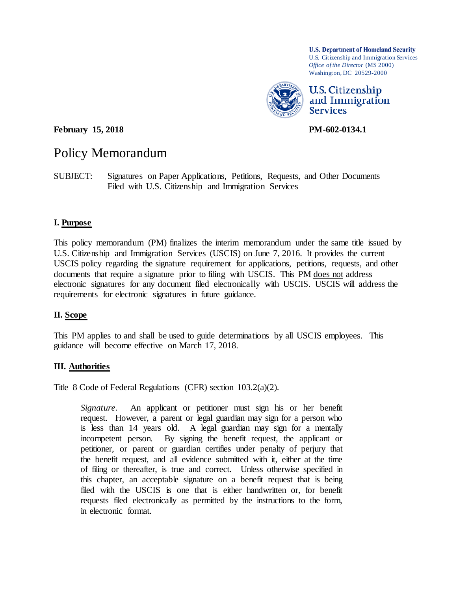**U.S. Department of Homeland Security** U.S. Citizenship and Immigration Services *Office of the Director* (MS 2000) Washington, DC 20529-2000



**February 15, 2018 PM-602-0134.1** 

# Policy Memorandum

SUBJECT: Signatures on Paper Applications, Petitions, Requests, and Other Documents Filed with U.S. Citizenship and Immigration Services

#### **I. Purpose**

This policy memorandum (PM) finalizes the interim memorandum under the same title issued by U.S. Citizenship and Immigration Services (USCIS) on June 7, 2016. It provides the current USCIS policy regarding the signature requirement for applications, petitions, requests, and other documents that require a signature prior to filing with USCIS. This PM does not address electronic signatures for any document filed electronically with USCIS. USCIS will address the requirements for electronic signatures in future guidance.

#### **II. Scope**

This PM applies to and shall be used to guide determinations by all USCIS employees. This guidance will become effective on March 17, 2018.

#### **III. Authorities**

Title 8 Code of Federal Regulations (CFR) section 103.2(a)(2).

*Signature*. An applicant or petitioner must sign his or her benefit request. However, a parent or legal guardian may sign for a person who is less than 14 years old. A legal guardian may sign for a mentally incompetent person. By signing the benefit request, the applicant or petitioner, or parent or guardian certifies under penalty of perjury that the benefit request, and all evidence submitted with it, either at the time of filing or thereafter, is true and correct. Unless otherwise specified in this chapter, an acceptable signature on a benefit request that is being filed with the USCIS is one that is either handwritten or, for benefit requests filed electronically as permitted by the instructions to the form, in electronic format.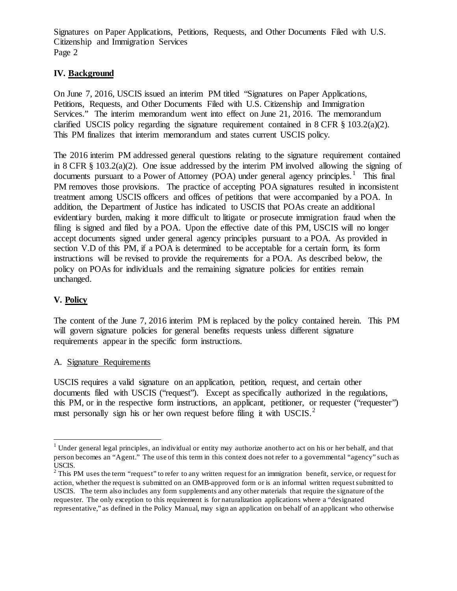# **IV. Background**

On June 7, 2016, USCIS issued an interim PM titled "Signatures on Paper Applications, Petitions, Requests, and Other Documents Filed with U.S. Citizenship and Immigration Services." The interim memorandum went into effect on June 21, 2016. The memorandum clarified USCIS policy regarding the signature requirement contained in  $8 \text{ CFR } \frac{8}{3}$  103.2(a)(2). This PM finalizes that interim memorandum and states current USCIS policy.

The 2016 interim PM addressed general questions relating to the signature requirement contained in 8 CFR  $\S$  103.2(a)(2). One issue addressed by the interim PM involved allowing the signing of documents pursuant to a Power of Attorney (POA) under general agency principles.<sup>[1](#page-1-0)</sup> This final PM removes those provisions. The practice of accepting POA signatures resulted in inconsistent treatment among USCIS officers and offices of petitions that were accompanied by a POA. In addition, the Department of Justice has indicated to USCIS that POAs create an additional evidentiary burden, making it more difficult to litigate or prosecute immigration fraud when the filing is signed and filed by a POA. Upon the effective date of this PM, USCIS will no longer accept documents signed under general agency principles pursuant to a POA. As provided in section V.D of this PM, if a POA is determined to be acceptable for a certain form, its form instructions will be revised to provide the requirements for a POA. As described below, the policy on POAs for individuals and the remaining signature policies for entities remain unchanged.

# **V. Policy**

The content of the June 7, 2016 interim PM is replaced by the policy contained herein. This PM will govern signature policies for general benefits requests unless different signature requirements appear in the specific form instructions.

#### A. Signature Requirements

USCIS requires a valid signature on an application, petition, request, and certain other documents filed with USCIS ("request"). Except as specifically authorized in the regulations, this PM, or in the respective form instructions, an applicant, petitioner, or requester ("requester") must personally sign his or her own request before filing it with  $USCIS$ <sup>[2](#page-1-1)</sup>

<span id="page-1-0"></span><sup>&</sup>lt;sup>1</sup> Under general legal principles, an individual or entity may authorize another to act on his or her behalf, and that person becomes an "Agent." The use of this term in this context does not refer to a governmental "agency" such as USCIS.

<span id="page-1-1"></span> $2$  This PM uses the term "request" to refer to any written request for an immigration benefit, service, or request for action, whether the request is submitted on an OMB-approved form or is an informal written request submitted to USCIS. The term also includes any form supplements and any other materials that require the signature of the requester. The only exception to this requirement is for naturalization applications where a "designated representative," as defined in the Policy Manual, may sign an application on behalf of an applicant who otherwise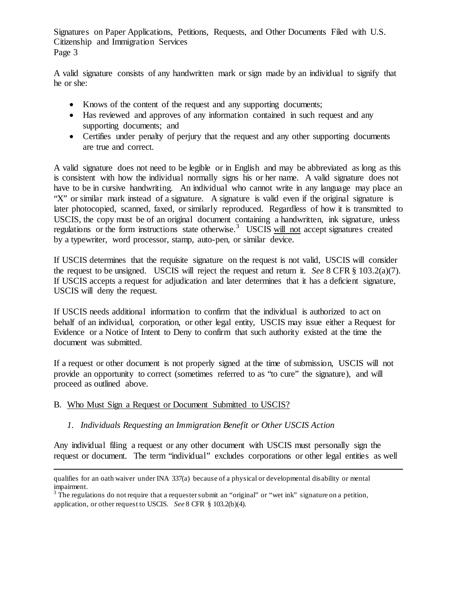A valid signature consists of any handwritten mark or sign made by an individual to signify that he or she:

- Knows of the content of the request and any supporting documents;
- Has reviewed and approves of any information contained in such request and any supporting documents; and
- Certifies under penalty of perjury that the request and any other supporting documents are true and correct.

A valid signature does not need to be legible or in English and may be abbreviated as long as this is consistent with how the individual normally signs his or her name. A valid signature does not have to be in cursive handwriting. An individual who cannot write in any language may place an "X" or similar mark instead of a signature. A signature is valid even if the original signature is later photocopied, scanned, faxed, or similarly reproduced. Regardless of how it is transmitted to USCIS, the copy must be of an original document containing a handwritten, ink signature, unless regulations or the form instructions state otherwise.<sup>[3](#page-2-0)</sup> USCIS will not accept signatures created by a typewriter, word processor, stamp, auto-pen, or similar device.

If USCIS determines that the requisite signature on the request is not valid, USCIS will consider the request to be unsigned. USCIS will reject the request and return it. *See* 8 CFR § 103.2(a)(7). If USCIS accepts a request for adjudication and later determines that it has a deficient signature, USCIS will deny the request.

If USCIS needs additional information to confirm that the individual is authorized to act on behalf of an individual, corporation, or other legal entity, USCIS may issue either a Request for Evidence or a Notice of Intent to Deny to confirm that such authority existed at the time the document was submitted.

If a request or other document is not properly signed at the time of submission, USCIS will not provide an opportunity to correct (sometimes referred to as "to cure" the signature), and will proceed as outlined above.

## B. Who Must Sign a Request or Document Submitted to USCIS?

 $\overline{a}$ 

## *1. Individuals Requesting an Immigration Benefit or Other USCIS Action*

Any individual filing a request or any other document with USCIS must personally sign the request or document. The term "individual" excludes corporations or other legal entities as well

qualifies for an oath waiver under INA 337(a) because of a physical or developmental disability or mental impairment.

<span id="page-2-0"></span> $3$  The regulations do not require that a requester submit an "original" or "wet ink" signature on a petition, application, or other request to USCIS. *See* 8 CFR § 103.2(b)(4).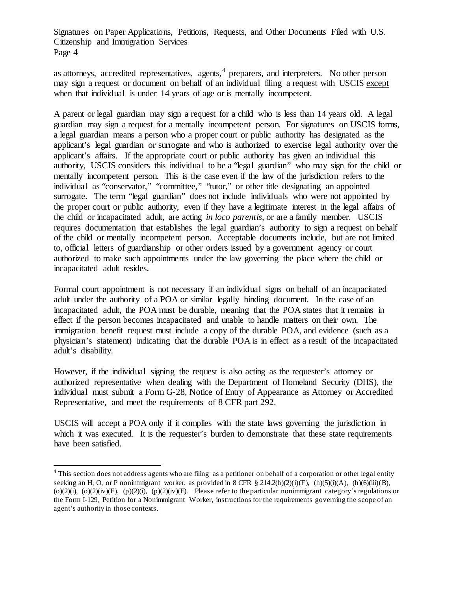as attorneys, accredited representatives, agents,  $4$  preparers, and interpreters. No other person may sign a request or document on behalf of an individual filing a request with USCIS except when that individual is under 14 years of age or is mentally incompetent.

A parent or legal guardian may sign a request for a child who is less than 14 years old. A legal guardian may sign a request for a mentally incompetent person. For signatures on USCIS forms, a legal guardian means a person who a proper court or public authority has designated as the applicant's legal guardian or surrogate and who is authorized to exercise legal authority over the applicant's affairs. If the appropriate court or public authority has given an individual this authority, USCIS considers this individual to be a "legal guardian" who may sign for the child or mentally incompetent person. This is the case even if the law of the jurisdiction refers to the individual as "conservator," "committee," "tutor," or other title designating an appointed surrogate. The term "legal guardian" does not include individuals who were not appointed by the proper court or public authority, even if they have a legitimate interest in the legal affairs of the child or incapacitated adult, are acting *in loco parentis*, or are a family member. USCIS requires documentation that establishes the legal guardian's authority to sign a request on behalf of the child or mentally incompetent person. Acceptable documents include, but are not limited to, official letters of guardianship or other orders issued by a government agency or court authorized to make such appointments under the law governing the place where the child or incapacitated adult resides.

Formal court appointment is not necessary if an individual signs on behalf of an incapacitated adult under the authority of a POA or similar legally binding document. In the case of an incapacitated adult, the POA must be durable, meaning that the POA states that it remains in effect if the person becomes incapacitated and unable to handle matters on their own. The immigration benefit request must include a copy of the durable POA, and evidence (such as a physician's statement) indicating that the durable POA is in effect as a result of the incapacitated adult's disability.

However, if the individual signing the request is also acting as the requester's attorney or authorized representative when dealing with the Department of Homeland Security (DHS), the individual must submit a Form G-28, Notice of Entry of Appearance as Attorney or Accredited Representative, and meet the requirements of 8 CFR part 292.

USCIS will accept a POA only if it complies with the state laws governing the jurisdiction in which it was executed. It is the requester's burden to demonstrate that these state requirements have been satisfied.

<span id="page-3-0"></span><sup>&</sup>lt;sup>4</sup> This section does not address agents who are filing as a petitioner on behalf of a corporation or other legal entity seeking an H, O, or P nonimmigrant worker, as provided in 8 CFR § 214.2(h)(2)(i)(F), (h)(5)(i)(A), (h)(6)(iii)(B), (o)(2)(i), (o)(2)(iv)(E), (p)(2)(i), (p)(2)(iv)(E). Please refer to the particular nonimmigrant category's regulations or the Form I-129, Petition for a Nonimmigrant Worker, instructions for the requirements governing the scope of an agent's authority in those contexts.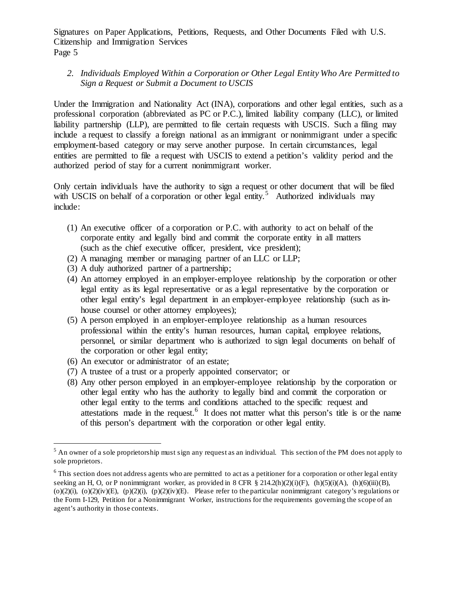#### *2. Individuals Employed Within a Corporation or Other Legal Entity Who Are Permitted to Sign a Request or Submit a Document to USCIS*

Under the Immigration and Nationality Act (INA), corporations and other legal entities, such as a professional corporation (abbreviated as PC or P.C.), limited liability company (LLC), or limited liability partnership (LLP), are permitted to file certain requests with USCIS. Such a filing may include a request to classify a foreign national as an immigrant or nonimmigrant under a specific employment-based category or may serve another purpose. In certain circumstances, legal entities are permitted to file a request with USCIS to extend a petition's validity period and the authorized period of stay for a current nonimmigrant worker.

Only certain individuals have the authority to sign a request or other document that will be filed with USCIS on behalf of a corporation or other legal entity.<sup>[5](#page-4-0)</sup> Authorized individuals may include:

- (1) An executive officer of a corporation or P.C. with authority to act on behalf of the corporate entity and legally bind and commit the corporate entity in all matters (such as the chief executive officer, president, vice president);
- (2) A managing member or managing partner of an LLC or LLP;
- (3) A duly authorized partner of a partnership;
- (4) An attorney employed in an employer-employee relationship by the corporation or other legal entity as its legal representative or as a legal representative by the corporation or other legal entity's legal department in an employer-employee relationship (such as inhouse counsel or other attorney employees);
- (5) A person employed in an employer-employee relationship as a human resources professional within the entity's human resources, human capital, employee relations, personnel, or similar department who is authorized to sign legal documents on behalf of the corporation or other legal entity;
- (6) An executor or administrator of an estate;
- (7) A trustee of a trust or a properly appointed conservator; or
- (8) Any other person employed in an employer-employee relationship by the corporation or other legal entity who has the authority to legally bind and commit the corporation or other legal entity to the terms and conditions attached to the specific request and attestations made in the request.<sup>[6](#page-4-1)</sup> It does not matter what this person's title is or the name of this person's department with the corporation or other legal entity.

<span id="page-4-0"></span> $5$  An owner of a sole proprietorship must sign any request as an individual. This section of the PM does not apply to sole proprietors.

<span id="page-4-1"></span> $6$  This section does not address agents who are permitted to act as a petitioner for a corporation or other legal entity seeking an H, O, or P nonimmigrant worker, as provided in 8 CFR § 214.2(h)(2)(i)(F), (h)(5)(i)(A), (h)(6)(iii)(B), (o)(2)(i), (o)(2)(iv)(E), (p)(2)(i), (p)(2)(iv)(E). Please refer to the particular nonimmigrant category's regulations or the Form I-129, Petition for a Nonimmigrant Worker, instructions for the requirements governing the scope of an agent's authority in those contexts.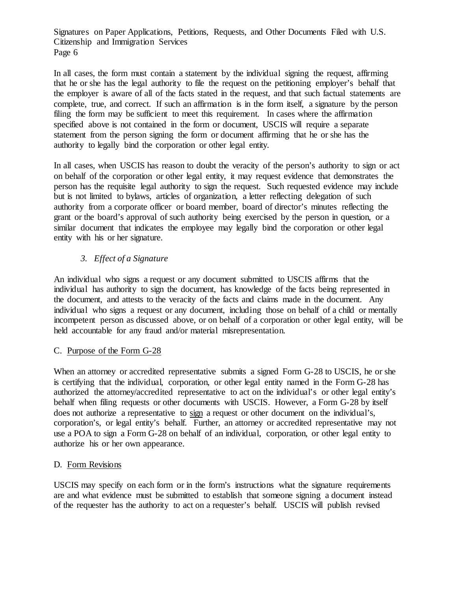In all cases, the form must contain a statement by the individual signing the request, affirming that he or she has the legal authority to file the request on the petitioning employer's behalf that the employer is aware of all of the facts stated in the request, and that such factual statements are complete, true, and correct. If such an affirmation is in the form itself, a signature by the person filing the form may be sufficient to meet this requirement. In cases where the affirmation specified above is not contained in the form or document, USCIS will require a separate statement from the person signing the form or document affirming that he or she has the authority to legally bind the corporation or other legal entity.

In all cases, when USCIS has reason to doubt the veracity of the person's authority to sign or act on behalf of the corporation or other legal entity, it may request evidence that demonstrates the person has the requisite legal authority to sign the request. Such requested evidence may include but is not limited to bylaws, articles of organization, a letter reflecting delegation of such authority from a corporate officer or board member, board of director's minutes reflecting the grant or the board's approval of such authority being exercised by the person in question, or a similar document that indicates the employee may legally bind the corporation or other legal entity with his or her signature.

## *3. Effect of a Signature*

An individual who signs a request or any document submitted to USCIS affirms that the individual has authority to sign the document, has knowledge of the facts being represented in the document, and attests to the veracity of the facts and claims made in the document. Any individual who signs a request or any document, including those on behalf of a child or mentally incompetent person as discussed above, or on behalf of a corporation or other legal entity, will be held accountable for any fraud and/or material misrepresentation.

## C. Purpose of the Form G-28

When an attorney or accredited representative submits a signed Form G-28 to USCIS, he or she is certifying that the individual, corporation, or other legal entity named in the Form G-28 has authorized the attorney/accredited representative to act on the individual's or other legal entity's behalf when filing requests or other documents with USCIS. However, a Form G-28 by itself does not authorize a representative to sign a request or other document on the individual's, corporation's, or legal entity's behalf. Further, an attorney or accredited representative may not use a POA to sign a Form G-28 on behalf of an individual, corporation, or other legal entity to authorize his or her own appearance.

## D. Form Revisions

USCIS may specify on each form or in the form's instructions what the signature requirements are and what evidence must be submitted to establish that someone signing a document instead of the requester has the authority to act on a requester's behalf. USCIS will publish revised